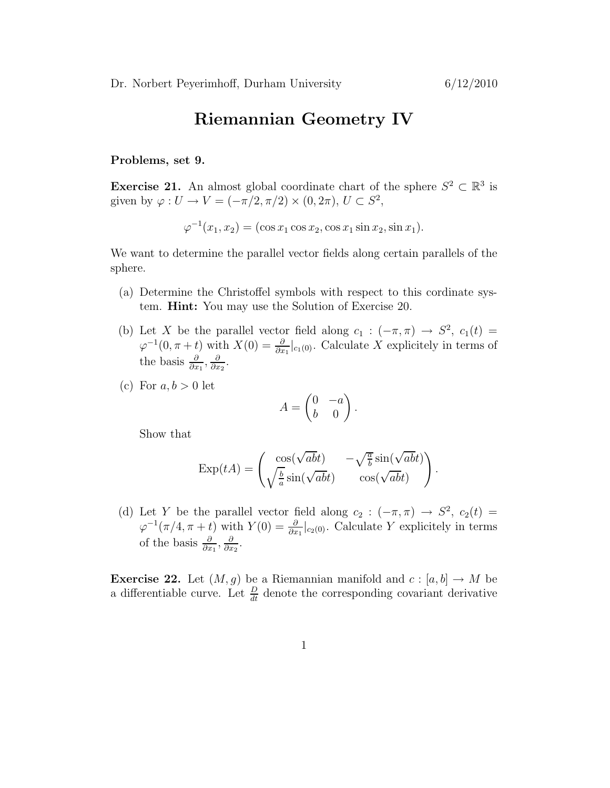## Riemannian Geometry IV

## Problems, set 9.

Exercise 21. An almost global coordinate chart of the sphere  $S^2 \subset \mathbb{R}^3$  is given by  $\varphi: U \to V = (-\pi/2, \pi/2) \times (0, 2\pi), U \subset S^2$ ,

 $\varphi^{-1}(x_1, x_2) = (\cos x_1 \cos x_2, \cos x_1 \sin x_2, \sin x_1).$ 

We want to determine the parallel vector fields along certain parallels of the sphere.

- (a) Determine the Christoffel symbols with respect to this cordinate system. Hint: You may use the Solution of Exercise 20.
- (b) Let X be the parallel vector field along  $c_1 : (-\pi, \pi) \to S^2$ ,  $c_1(t) =$  $\varphi^{-1}(0, \pi + t)$  with  $X(0) = \frac{\partial}{\partial x_1}|_{c_1(0)}$ . Calculate X explicitely in terms of the basis  $\frac{\partial}{\partial x_1}, \frac{\partial}{\partial x_2}$  $\frac{\partial}{\partial x_2}$ .
- (c) For  $a, b > 0$  let

$$
A = \begin{pmatrix} 0 & -a \\ b & 0 \end{pmatrix}.
$$

Show that

$$
\operatorname{Exp}(tA) = \begin{pmatrix} \cos(\sqrt{ab}t) & -\sqrt{\frac{a}{b}}\sin(\sqrt{ab}t) \\ \sqrt{\frac{b}{a}}\sin(\sqrt{ab}t) & \cos(\sqrt{ab}t) \end{pmatrix}.
$$

(d) Let Y be the parallel vector field along  $c_2: (-\pi, \pi) \rightarrow S^2$ ,  $c_2(t) =$  $\varphi^{-1}(\pi/4, \pi + t)$  with  $Y(0) = \frac{\partial}{\partial x_1}|_{c_2(0)}$ . Calculate Y explicitely in terms of the basis  $\frac{\partial}{\partial x_1}, \frac{\partial}{\partial x_2}$  $\frac{\partial}{\partial x_2}$ .

**Exercise 22.** Let  $(M, g)$  be a Riemannian manifold and  $c : [a, b] \rightarrow M$  be a differentiable curve. Let  $\frac{D}{dt}$  denote the corresponding covariant derivative